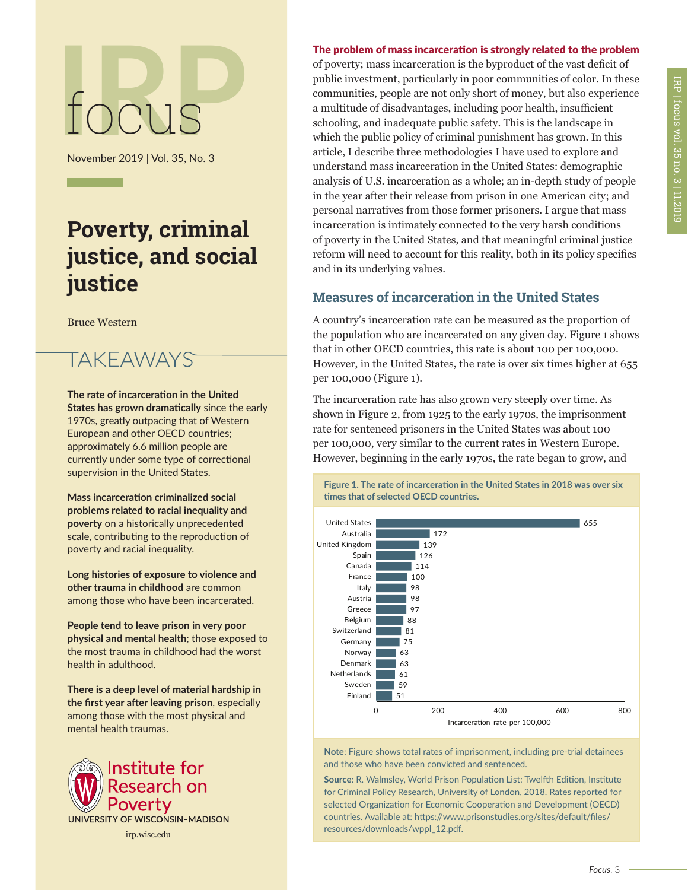# **IRP** focus

November 2019 | Vol. 35, No. 3

# **Poverty, criminal justice, and social justice**

Bruce Western

# TAKFAWAYS

**The rate of incarceration in the United States has grown dramatically** since the early 1970s, greatly outpacing that of Western European and other OECD countries; approximately 6.6 million people are currently under some type of correctional supervision in the United States.

**Mass incarceration criminalized social problems related to racial inequality and poverty** on a historically unprecedented scale, contributing to the reproduction of poverty and racial inequality.

**Long histories of exposure to violence and other trauma in childhood** are common among those who have been incarcerated.

**People tend to leave prison in very poor physical and mental health**; those exposed to the most trauma in childhood had the worst health in adulthood.

**There is a deep level of material hardship in the first year after leaving prison**, especially among those with the most physical and mental health traumas.



### The problem of mass incarceration is strongly related to the problem

of poverty; mass incarceration is the byproduct of the vast deficit of public investment, particularly in poor communities of color. In these communities, people are not only short of money, but also experience a multitude of disadvantages, including poor health, insufficient schooling, and inadequate public safety. This is the landscape in which the public policy of criminal punishment has grown. In this article, I describe three methodologies I have used to explore and understand mass incarceration in the United States: demographic analysis of U.S. incarceration as a whole; an in-depth study of people in the year after their release from prison in one American city; and personal narratives from those former prisoners. I argue that mass incarceration is intimately connected to the very harsh conditions of poverty in the United States, and that meaningful criminal justice reform will need to account for this reality, both in its policy specifics and in its underlying values.

## **Measures of incarceration in the United States**

A country's incarceration rate can be measured as the proportion of the population who are incarcerated on any given day. Figure 1 shows that in other OECD countries, this rate is about 100 per 100,000. However, in the United States, the rate is over six times higher at 655 per 100,000 (Figure 1).

The incarceration rate has also grown very steeply over time. As shown in Figure 2, from 1925 to the early 1970s, the imprisonment rate for sentenced prisoners in the United States was about 100 per 100,000, very similar to the current rates in Western Europe. However, beginning in the early 1970s, the rate began to grow, and



**Note**: Figure shows total rates of imprisonment, including pre-trial detainees and those who have been convicted and sentenced.

**Source**: R. Walmsley, World Prison Population List: Twelfth Edition, Institute for Criminal Policy Research, University of London, 2018. Rates reported for selected Organization for Economic Cooperation and Development (OECD) countries. Available at: https://www.prisonstudies.org/sites/default/files/ resources/downloads/wppl\_12.pdf.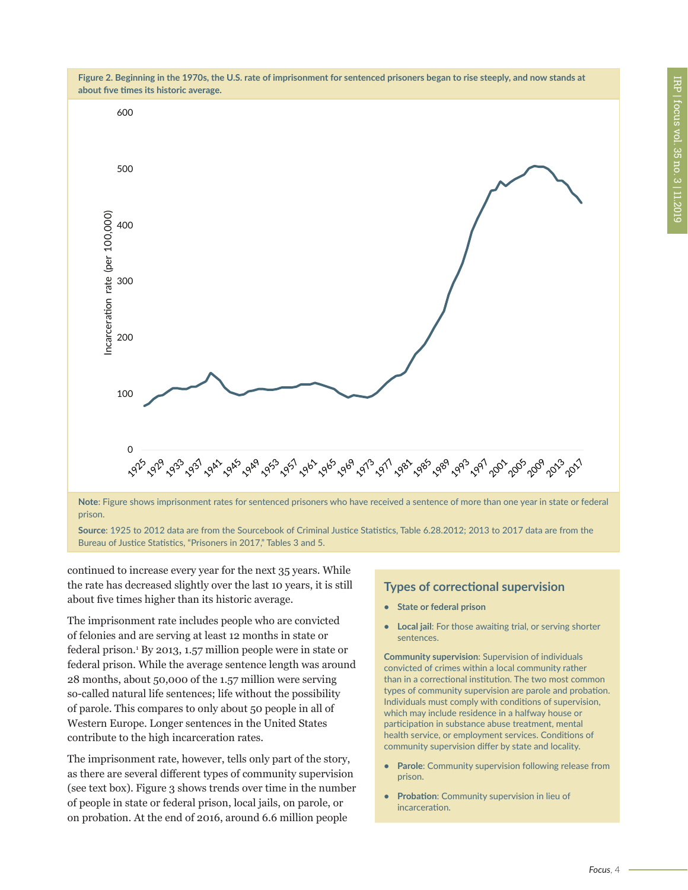

**Source**: 1925 to 2012 data are from the Sourcebook of Criminal Justice Statistics, Table 6.28.2012; 2013 to 2017 data are from the Bureau of Justice Statistics, "Prisoners in 2017," Tables 3 and 5.

continued to increase every year for the next 35 years. While the rate has decreased slightly over the last 10 years, it is still about five times higher than its historic average.

The imprisonment rate includes people who are convicted of felonies and are serving at least 12 months in state or federal prison.1 By 2013, 1.57 million people were in state or federal prison. While the average sentence length was around 28 months, about 50,000 of the 1.57 million were serving so-called natural life sentences; life without the possibility of parole. This compares to only about 50 people in all of Western Europe. Longer sentences in the United States contribute to the high incarceration rates.

The imprisonment rate, however, tells only part of the story, as there are several different types of community supervision (see text box). Figure 3 shows trends over time in the number of people in state or federal prison, local jails, on parole, or on probation. At the end of 2016, around 6.6 million people

### **Types of correctional supervision**

- **• State or federal prison**
- **• Local jail**: For those awaiting trial, or serving shorter sentences.

**Community supervision**: Supervision of individuals convicted of crimes within a local community rather than in a correctional institution. The two most common types of community supervision are parole and probation. Individuals must comply with conditions of supervision, which may include residence in a halfway house or participation in substance abuse treatment, mental health service, or employment services. Conditions of community supervision differ by state and locality.

- **• Parole**: Community supervision following release from prison.
- **• Probation**: Community supervision in lieu of incarceration.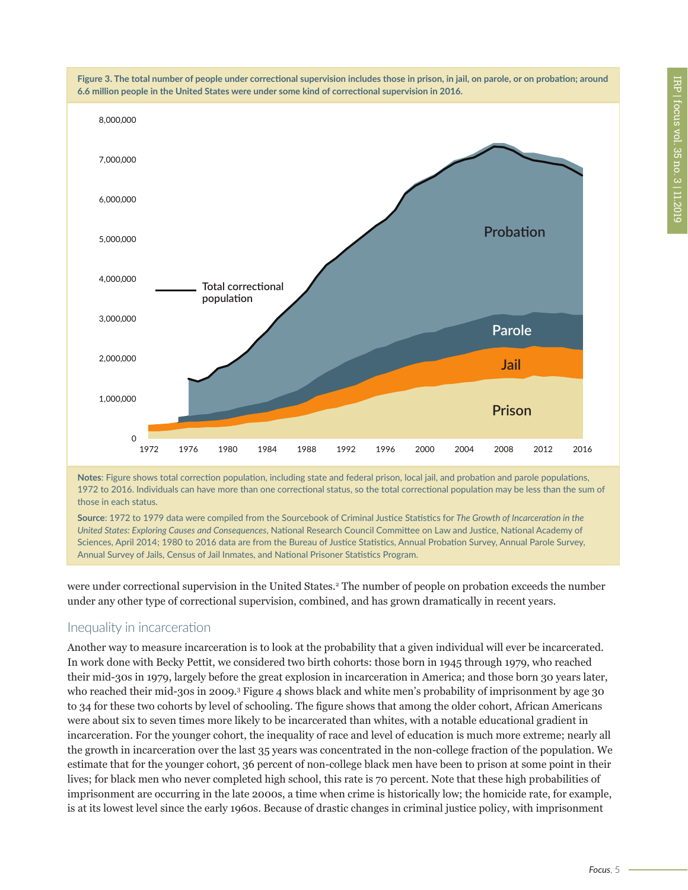

**Notes**: Figure shows total correction population, including state and federal prison, local jail, and probation and parole populations, 1972 to 2016. Individuals can have more than one correctional status, so the total correctional population may be less than the sum of those in each status.

**Source**: 1972 to 1979 data were compiled from the Sourcebook of Criminal Justice Statistics for *The Growth of Incarceration in the United States: Exploring Causes and Consequences*, National Research Council Committee on Law and Justice, National Academy of Sciences, April 2014; 1980 to 2016 data are from the Bureau of Justice Statistics, Annual Probation Survey, Annual Parole Survey, Annual Survey of Jails, Census of Jail Inmates, and National Prisoner Statistics Program.

were under correctional supervision in the United States.2 The number of people on probation exceeds the number under any other type of correctional supervision, combined, and has grown dramatically in recent years.

### Inequality in incarceration

Another way to measure incarceration is to look at the probability that a given individual will ever be incarcerated. In work done with Becky Pettit, we considered two birth cohorts: those born in 1945 through 1979, who reached their mid-30s in 1979, largely before the great explosion in incarceration in America; and those born 30 years later, who reached their mid-30s in 2009.3 Figure 4 shows black and white men's probability of imprisonment by age 30 to 34 for these two cohorts by level of schooling. The figure shows that among the older cohort, African Americans were about six to seven times more likely to be incarcerated than whites, with a notable educational gradient in incarceration. For the younger cohort, the inequality of race and level of education is much more extreme; nearly all the growth in incarceration over the last 35 years was concentrated in the non-college fraction of the population. We estimate that for the younger cohort, 36 percent of non-college black men have been to prison at some point in their lives; for black men who never completed high school, this rate is 70 percent. Note that these high probabilities of imprisonment are occurring in the late 2000s, a time when crime is historically low; the homicide rate, for example, is at its lowest level since the early 1960s. Because of drastic changes in criminal justice policy, with imprisonment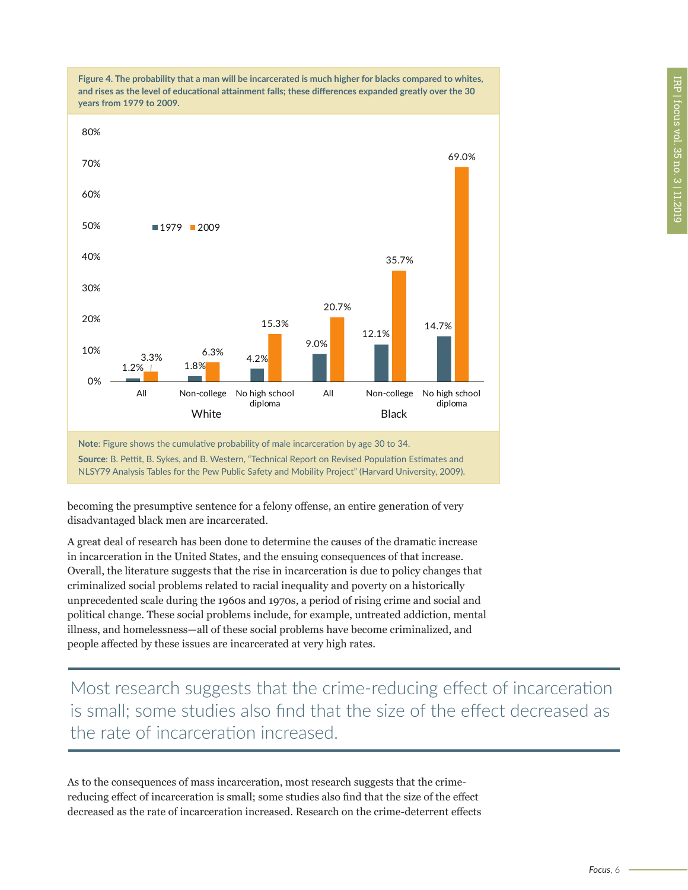

NLSY79 Analysis Tables for the Pew Public Safety and Mobility Project" (Harvard University, 2009).

becoming the presumptive sentence for a felony offense, an entire generation of very disadvantaged black men are incarcerated.

A great deal of research has been done to determine the causes of the dramatic increase in incarceration in the United States, and the ensuing consequences of that increase. Overall, the literature suggests that the rise in incarceration is due to policy changes that criminalized social problems related to racial inequality and poverty on a historically unprecedented scale during the 1960s and 1970s, a period of rising crime and social and political change. These social problems include, for example, untreated addiction, mental illness, and homelessness—all of these social problems have become criminalized, and people affected by these issues are incarcerated at very high rates.

Most research suggests that the crime-reducing effect of incarceration is small; some studies also find that the size of the effect decreased as the rate of incarceration increased.

As to the consequences of mass incarceration, most research suggests that the crimereducing effect of incarceration is small; some studies also find that the size of the effect decreased as the rate of incarceration increased. Research on the crime-deterrent effects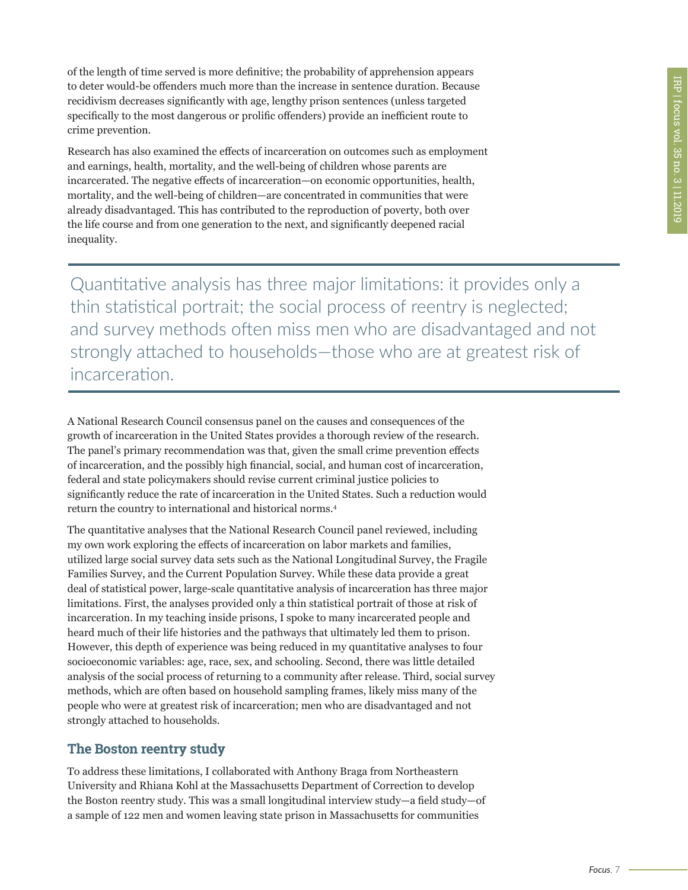of the length of time served is more definitive; the probability of apprehension appears to deter would-be offenders much more than the increase in sentence duration. Because recidivism decreases significantly with age, lengthy prison sentences (unless targeted specifically to the most dangerous or prolific offenders) provide an inefficient route to crime prevention.

Research has also examined the effects of incarceration on outcomes such as employment and earnings, health, mortality, and the well-being of children whose parents are incarcerated. The negative effects of incarceration—on economic opportunities, health, mortality, and the well-being of children—are concentrated in communities that were already disadvantaged. This has contributed to the reproduction of poverty, both over the life course and from one generation to the next, and significantly deepened racial inequality.

Quantitative analysis has three major limitations: it provides only a thin statistical portrait; the social process of reentry is neglected; and survey methods often miss men who are disadvantaged and not strongly attached to households—those who are at greatest risk of incarceration.

A National Research Council consensus panel on the causes and consequences of the growth of incarceration in the United States provides a thorough review of the research. The panel's primary recommendation was that, given the small crime prevention effects of incarceration, and the possibly high financial, social, and human cost of incarceration, federal and state policymakers should revise current criminal justice policies to significantly reduce the rate of incarceration in the United States. Such a reduction would return the country to international and historical norms.4

The quantitative analyses that the National Research Council panel reviewed, including my own work exploring the effects of incarceration on labor markets and families, utilized large social survey data sets such as the National Longitudinal Survey, the Fragile Families Survey, and the Current Population Survey. While these data provide a great deal of statistical power, large-scale quantitative analysis of incarceration has three major limitations. First, the analyses provided only a thin statistical portrait of those at risk of incarceration. In my teaching inside prisons, I spoke to many incarcerated people and heard much of their life histories and the pathways that ultimately led them to prison. However, this depth of experience was being reduced in my quantitative analyses to four socioeconomic variables: age, race, sex, and schooling. Second, there was little detailed analysis of the social process of returning to a community after release. Third, social survey methods, which are often based on household sampling frames, likely miss many of the people who were at greatest risk of incarceration; men who are disadvantaged and not strongly attached to households.

### **The Boston reentry study**

To address these limitations, I collaborated with Anthony Braga from Northeastern University and Rhiana Kohl at the Massachusetts Department of Correction to develop the Boston reentry study. This was a small longitudinal interview study—a field study—of a sample of 122 men and women leaving state prison in Massachusetts for communities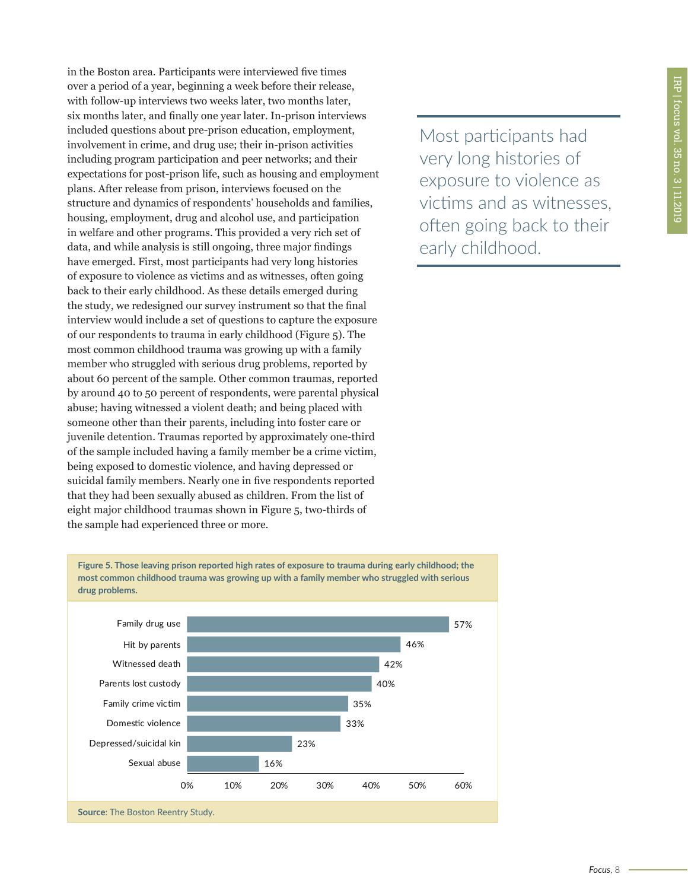in the Boston area. Participants were interviewed five times over a period of a year, beginning a week before their release, with follow-up interviews two weeks later, two months later, six months later, and finally one year later. In-prison interviews included questions about pre-prison education, employment, involvement in crime, and drug use; their in-prison activities including program participation and peer networks; and their expectations for post-prison life, such as housing and employment plans. After release from prison, interviews focused on the structure and dynamics of respondents' households and families, housing, employment, drug and alcohol use, and participation in welfare and other programs. This provided a very rich set of data, and while analysis is still ongoing, three major findings have emerged. First, most participants had very long histories of exposure to violence as victims and as witnesses, often going back to their early childhood. As these details emerged during the study, we redesigned our survey instrument so that the final interview would include a set of questions to capture the exposure of our respondents to trauma in early childhood (Figure 5). The most common childhood trauma was growing up with a family member who struggled with serious drug problems, reported by about 60 percent of the sample. Other common traumas, reported by around 40 to 50 percent of respondents, were parental physical abuse; having witnessed a violent death; and being placed with someone other than their parents, including into foster care or juvenile detention. Traumas reported by approximately one-third of the sample included having a family member be a crime victim, being exposed to domestic violence, and having depressed or suicidal family members. Nearly one in five respondents reported that they had been sexually abused as children. From the list of eight major childhood traumas shown in Figure 5, two-thirds of the sample had experienced three or more.

Most participants had very long histories of exposure to violence as victims and as witnesses, often going back to their early childhood.

**Figure 5. Those leaving prison reported high rates of exposure to trauma during early childhood; the most common childhood trauma was growing up with a family member who struggled with serious drug problems.**

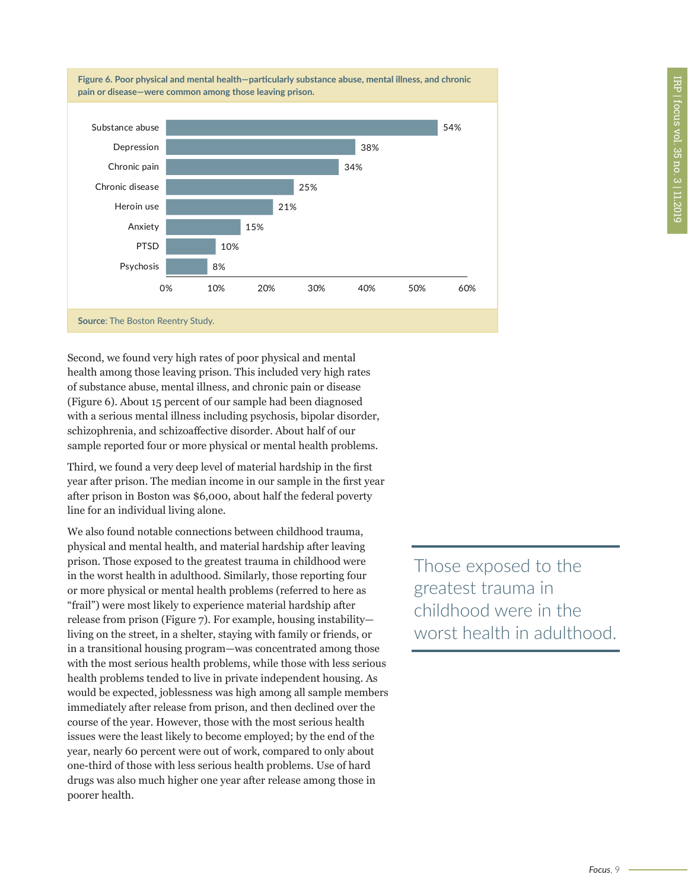

Second, we found very high rates of poor physical and mental health among those leaving prison. This included very high rates of substance abuse, mental illness, and chronic pain or disease (Figure 6). About 15 percent of our sample had been diagnosed with a serious mental illness including psychosis, bipolar disorder, schizophrenia, and schizoaffective disorder. About half of our sample reported four or more physical or mental health problems.

Third, we found a very deep level of material hardship in the first year after prison. The median income in our sample in the first year after prison in Boston was \$6,000, about half the federal poverty line for an individual living alone.

We also found notable connections between childhood trauma, physical and mental health, and material hardship after leaving prison. Those exposed to the greatest trauma in childhood were in the worst health in adulthood. Similarly, those reporting four or more physical or mental health problems (referred to here as "frail") were most likely to experience material hardship after release from prison (Figure 7). For example, housing instability living on the street, in a shelter, staying with family or friends, or in a transitional housing program—was concentrated among those with the most serious health problems, while those with less serious health problems tended to live in private independent housing. As would be expected, joblessness was high among all sample members immediately after release from prison, and then declined over the course of the year. However, those with the most serious health issues were the least likely to become employed; by the end of the year, nearly 60 percent were out of work, compared to only about one-third of those with less serious health problems. Use of hard drugs was also much higher one year after release among those in poorer health.

Those exposed to the greatest trauma in childhood were in the worst health in adulthood.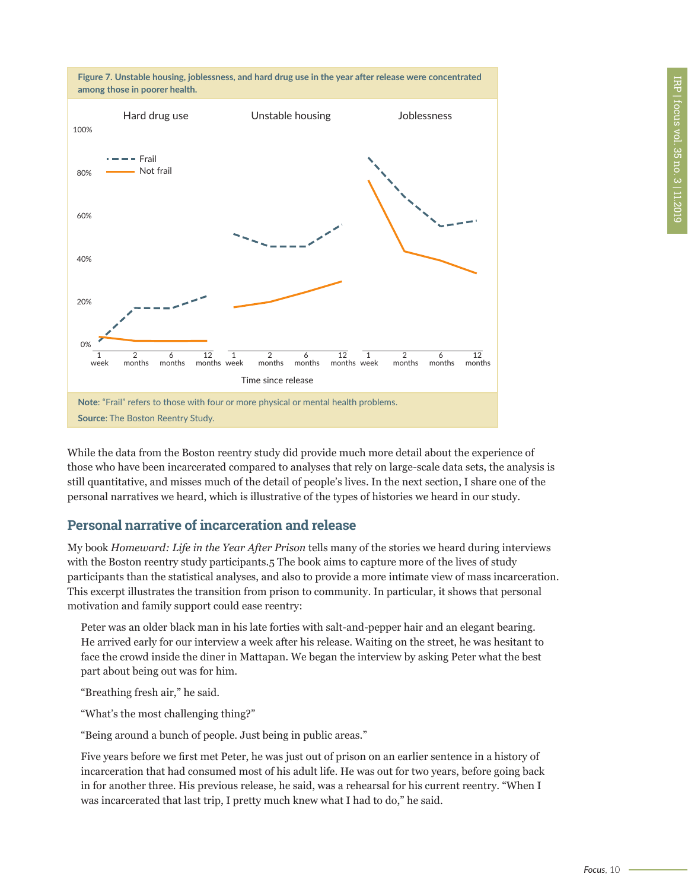

While the data from the Boston reentry study did provide much more detail about the experience of those who have been incarcerated compared to analyses that rely on large-scale data sets, the analysis is still quantitative, and misses much of the detail of people's lives. In the next section, I share one of the personal narratives we heard, which is illustrative of the types of histories we heard in our study.

### **Personal narrative of incarceration and release**

My book *Homeward: Life in the Year After Prison* tells many of the stories we heard during interviews with the Boston reentry study participants.5 The book aims to capture more of the lives of study participants than the statistical analyses, and also to provide a more intimate view of mass incarceration. This excerpt illustrates the transition from prison to community. In particular, it shows that personal motivation and family support could ease reentry:

Peter was an older black man in his late forties with salt-and-pepper hair and an elegant bearing. He arrived early for our interview a week after his release. Waiting on the street, he was hesitant to face the crowd inside the diner in Mattapan. We began the interview by asking Peter what the best part about being out was for him.

- "Breathing fresh air," he said.
- "What's the most challenging thing?"
- "Being around a bunch of people. Just being in public areas."

Five years before we first met Peter, he was just out of prison on an earlier sentence in a history of incarceration that had consumed most of his adult life. He was out for two years, before going back in for another three. His previous release, he said, was a rehearsal for his current reentry. "When I was incarcerated that last trip, I pretty much knew what I had to do," he said.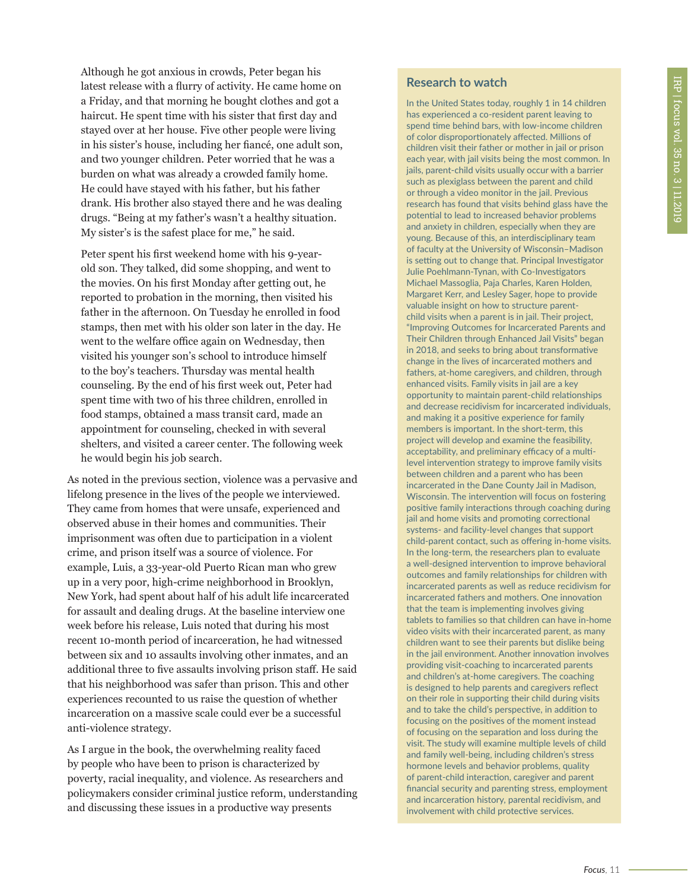Although he got anxious in crowds, Peter began his latest release with a flurry of activity. He came home on a Friday, and that morning he bought clothes and got a haircut. He spent time with his sister that first day and stayed over at her house. Five other people were living in his sister's house, including her fiancé, one adult son, and two younger children. Peter worried that he was a burden on what was already a crowded family home. He could have stayed with his father, but his father drank. His brother also stayed there and he was dealing drugs. "Being at my father's wasn't a healthy situation. My sister's is the safest place for me," he said.

Peter spent his first weekend home with his 9-yearold son. They talked, did some shopping, and went to the movies. On his first Monday after getting out, he reported to probation in the morning, then visited his father in the afternoon. On Tuesday he enrolled in food stamps, then met with his older son later in the day. He went to the welfare office again on Wednesday, then visited his younger son's school to introduce himself to the boy's teachers. Thursday was mental health counseling. By the end of his first week out, Peter had spent time with two of his three children, enrolled in food stamps, obtained a mass transit card, made an appointment for counseling, checked in with several shelters, and visited a career center. The following week he would begin his job search.

As noted in the previous section, violence was a pervasive and lifelong presence in the lives of the people we interviewed. They came from homes that were unsafe, experienced and observed abuse in their homes and communities. Their imprisonment was often due to participation in a violent crime, and prison itself was a source of violence. For example, Luis, a 33-year-old Puerto Rican man who grew up in a very poor, high-crime neighborhood in Brooklyn, New York, had spent about half of his adult life incarcerated for assault and dealing drugs. At the baseline interview one week before his release, Luis noted that during his most recent 10-month period of incarceration, he had witnessed between six and 10 assaults involving other inmates, and an additional three to five assaults involving prison staff. He said that his neighborhood was safer than prison. This and other experiences recounted to us raise the question of whether incarceration on a massive scale could ever be a successful anti-violence strategy.

As I argue in the book, the overwhelming reality faced by people who have been to prison is characterized by poverty, racial inequality, and violence. As researchers and policymakers consider criminal justice reform, understanding and discussing these issues in a productive way presents

### **Research to watch**

In the United States today, roughly 1 in 14 children has experienced a co-resident parent leaving to spend time behind bars, with low-income children of color disproportionately affected. Millions of children visit their father or mother in jail or prison each year, with jail visits being the most common. In jails, parent-child visits usually occur with a barrier such as plexiglass between the parent and child or through a video monitor in the jail. Previous research has found that visits behind glass have the potential to lead to increased behavior problems and anxiety in children, especially when they are young. Because of this, an interdisciplinary team of faculty at the University of Wisconsin–Madison is setting out to change that. Principal Investigator Julie Poehlmann-Tynan, with Co-Investigators Michael Massoglia, Paja Charles, Karen Holden, Margaret Kerr, and Lesley Sager, hope to provide valuable insight on how to structure parentchild visits when a parent is in jail. Their project, "Improving Outcomes for Incarcerated Parents and Their Children through Enhanced Jail Visits" began in 2018, and seeks to bring about transformative change in the lives of incarcerated mothers and fathers, at-home caregivers, and children, through enhanced visits. Family visits in jail are a key opportunity to maintain parent-child relationships and decrease recidivism for incarcerated individuals, and making it a positive experience for family members is important. In the short-term, this project will develop and examine the feasibility, acceptability, and preliminary efficacy of a multilevel intervention strategy to improve family visits between children and a parent who has been incarcerated in the Dane County Jail in Madison, Wisconsin. The intervention will focus on fostering positive family interactions through coaching during jail and home visits and promoting correctional systems- and facility-level changes that support child-parent contact, such as offering in-home visits. In the long-term, the researchers plan to evaluate a well-designed intervention to improve behavioral outcomes and family relationships for children with incarcerated parents as well as reduce recidivism for incarcerated fathers and mothers. One innovation that the team is implementing involves giving tablets to families so that children can have in-home video visits with their incarcerated parent, as many children want to see their parents but dislike being in the jail environment. Another innovation involves providing visit-coaching to incarcerated parents and children's at-home caregivers. The coaching is designed to help parents and caregivers reflect on their role in supporting their child during visits and to take the child's perspective, in addition to focusing on the positives of the moment instead of focusing on the separation and loss during the visit. The study will examine multiple levels of child and family well-being, including children's stress hormone levels and behavior problems, quality of parent-child interaction, caregiver and parent financial security and parenting stress, employment and incarceration history, parental recidivism, and involvement with child protective services.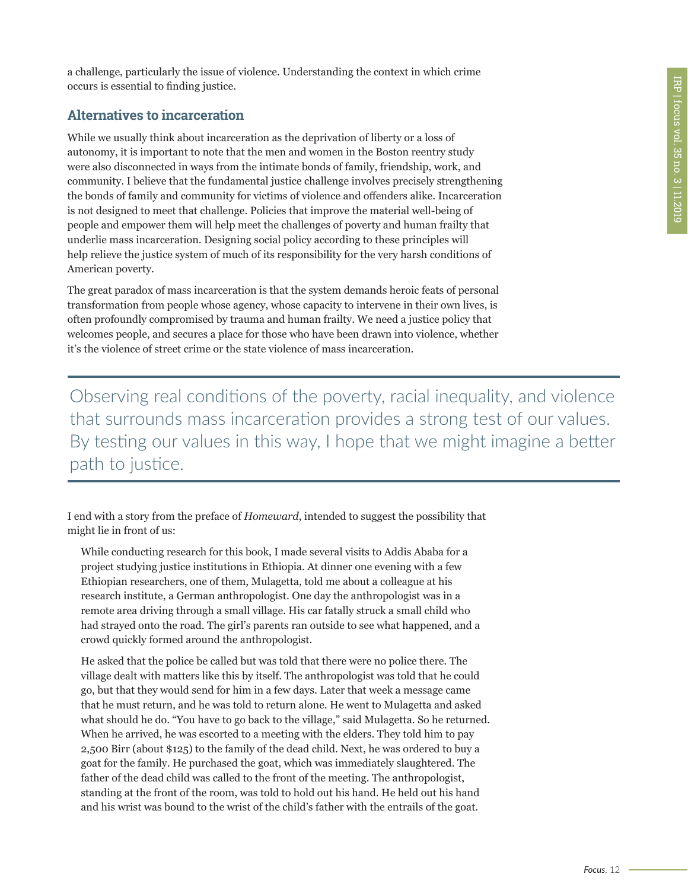a challenge, particularly the issue of violence. Understanding the context in which crime occurs is essential to finding justice.

### **Alternatives to incarceration**

While we usually think about incarceration as the deprivation of liberty or a loss of autonomy, it is important to note that the men and women in the Boston reentry study were also disconnected in ways from the intimate bonds of family, friendship, work, and community. I believe that the fundamental justice challenge involves precisely strengthening the bonds of family and community for victims of violence and offenders alike. Incarceration is not designed to meet that challenge. Policies that improve the material well-being of people and empower them will help meet the challenges of poverty and human frailty that underlie mass incarceration. Designing social policy according to these principles will help relieve the justice system of much of its responsibility for the very harsh conditions of American poverty.

The great paradox of mass incarceration is that the system demands heroic feats of personal transformation from people whose agency, whose capacity to intervene in their own lives, is often profoundly compromised by trauma and human frailty. We need a justice policy that welcomes people, and secures a place for those who have been drawn into violence, whether it's the violence of street crime or the state violence of mass incarceration.

Observing real conditions of the poverty, racial inequality, and violence that surrounds mass incarceration provides a strong test of our values. By testing our values in this way, I hope that we might imagine a better path to justice.

I end with a story from the preface of *Homeward*, intended to suggest the possibility that might lie in front of us:

While conducting research for this book, I made several visits to Addis Ababa for a project studying justice institutions in Ethiopia. At dinner one evening with a few Ethiopian researchers, one of them, Mulagetta, told me about a colleague at his research institute, a German anthropologist. One day the anthropologist was in a remote area driving through a small village. His car fatally struck a small child who had strayed onto the road. The girl's parents ran outside to see what happened, and a crowd quickly formed around the anthropologist.

He asked that the police be called but was told that there were no police there. The village dealt with matters like this by itself. The anthropologist was told that he could go, but that they would send for him in a few days. Later that week a message came that he must return, and he was told to return alone. He went to Mulagetta and asked what should he do. "You have to go back to the village," said Mulagetta. So he returned. When he arrived, he was escorted to a meeting with the elders. They told him to pay 2,500 Birr (about \$125) to the family of the dead child. Next, he was ordered to buy a goat for the family. He purchased the goat, which was immediately slaughtered. The father of the dead child was called to the front of the meeting. The anthropologist, standing at the front of the room, was told to hold out his hand. He held out his hand and his wrist was bound to the wrist of the child's father with the entrails of the goat.